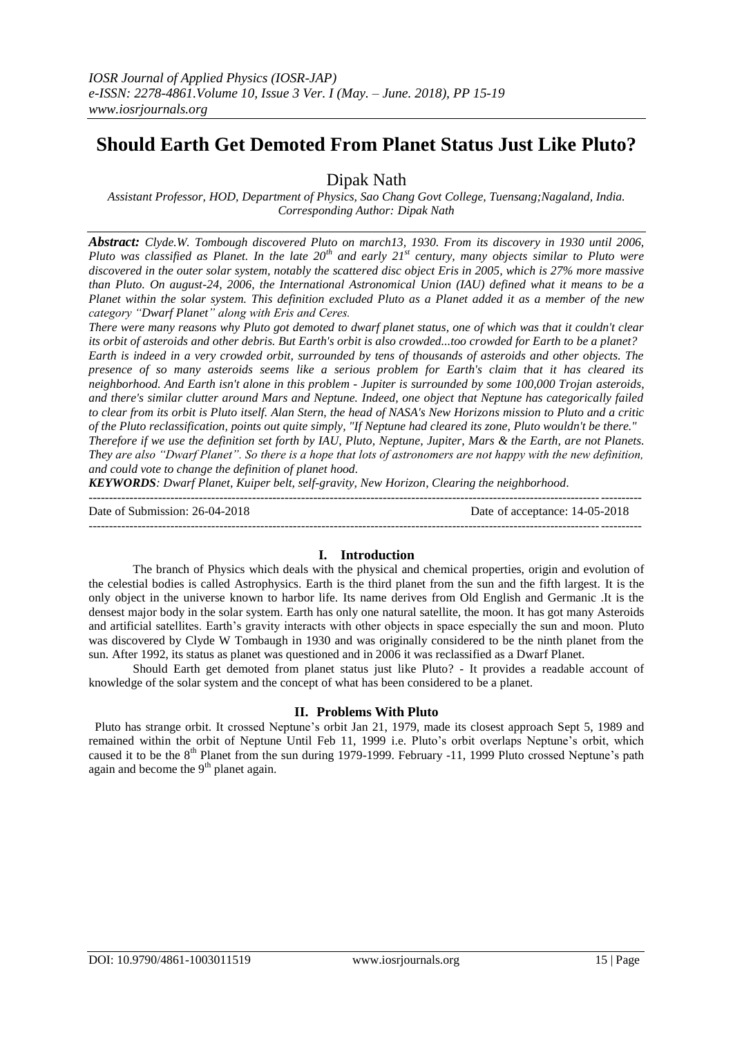# **Should Earth Get Demoted From Planet Status Just Like Pluto?**

Dipak Nath

*Assistant Professor, HOD, Department of Physics, Sao Chang Govt College, Tuensang;Nagaland, India. Corresponding Author: Dipak Nath*

*Abstract: Clyde.W. Tombough discovered Pluto on march13, 1930. From its discovery in 1930 until 2006, Pluto was classified as Planet. In the late 20th and early 21st century, many objects similar to Pluto were discovered in the outer solar system, notably the scattered disc object Eris in 2005, which is 27% more massive than Pluto. On august-24, 2006, the International Astronomical Union (IAU) defined what it means to be a Planet within the solar system. This definition excluded Pluto as a Planet added it as a member of the new category "Dwarf Planet" along with Eris and Ceres.*

*There were many reasons why Pluto got demoted to dwarf planet status, one of which was that it couldn't clear its orbit of asteroids and other debris. But Earth's orbit is also crowded...too crowded for Earth to be a planet? Earth is indeed in a very crowded orbit, surrounded by tens of thousands of asteroids and other objects. The presence of so many asteroids seems like a serious problem for Earth's claim that it has cleared its neighborhood. And Earth isn't alone in this problem - Jupiter is surrounded by some 100,000 Trojan asteroids, and there's similar clutter around Mars and Neptune. Indeed, one object that Neptune has categorically failed to clear from its orbit is Pluto itself. Alan Stern, the head of NASA's New Horizons mission to Pluto and a critic of the Pluto reclassification, points out quite simply, "If Neptune had cleared its zone, Pluto wouldn't be there." Therefore if we use the definition set forth by IAU, Pluto, Neptune, Jupiter, Mars & the Earth, are not Planets. They are also "Dwarf Planet". So there is a hope that lots of astronomers are not happy with the new definition, and could vote to change the definition of planet hood.*

*KEYWORDS: Dwarf Planet, Kuiper belt, self-gravity, New Horizon, Clearing the neighborhood*.

 $-1.1$ Date of Submission: 26-04-2018 Date of acceptance: 14-05-2018 ---------------------------------------------------------------------------------------------------------------------------------------

## **I. Introduction**

The branch of Physics which deals with the physical and chemical properties, origin and evolution of the celestial bodies is called Astrophysics. Earth is the third planet from the sun and the fifth largest. It is the only object in the universe known to harbor life. Its name derives from Old English and Germanic .It is the densest major body in the solar system. Earth has only one natural satellite, the moon. It has got many Asteroids and artificial satellites. Earth's gravity interacts with other objects in space especially the sun and moon. Pluto was discovered by Clyde W Tombaugh in 1930 and was originally considered to be the ninth planet from the sun. After 1992, its status as planet was questioned and in 2006 it was reclassified as a Dwarf Planet.

Should Earth get demoted from planet status just like Pluto? - It provides a readable account of knowledge of the solar system and the concept of what has been considered to be a planet.

## **II. Problems With Pluto**

 Pluto has strange orbit. It crossed Neptune's orbit Jan 21, 1979, made its closest approach Sept 5, 1989 and remained within the orbit of Neptune Until Feb 11, 1999 i.e. Pluto's orbit overlaps Neptune's orbit, which caused it to be the 8<sup>th</sup> Planet from the sun during 1979-1999. February -11, 1999 Pluto crossed Neptune's path again and become the  $9<sup>th</sup>$  planet again.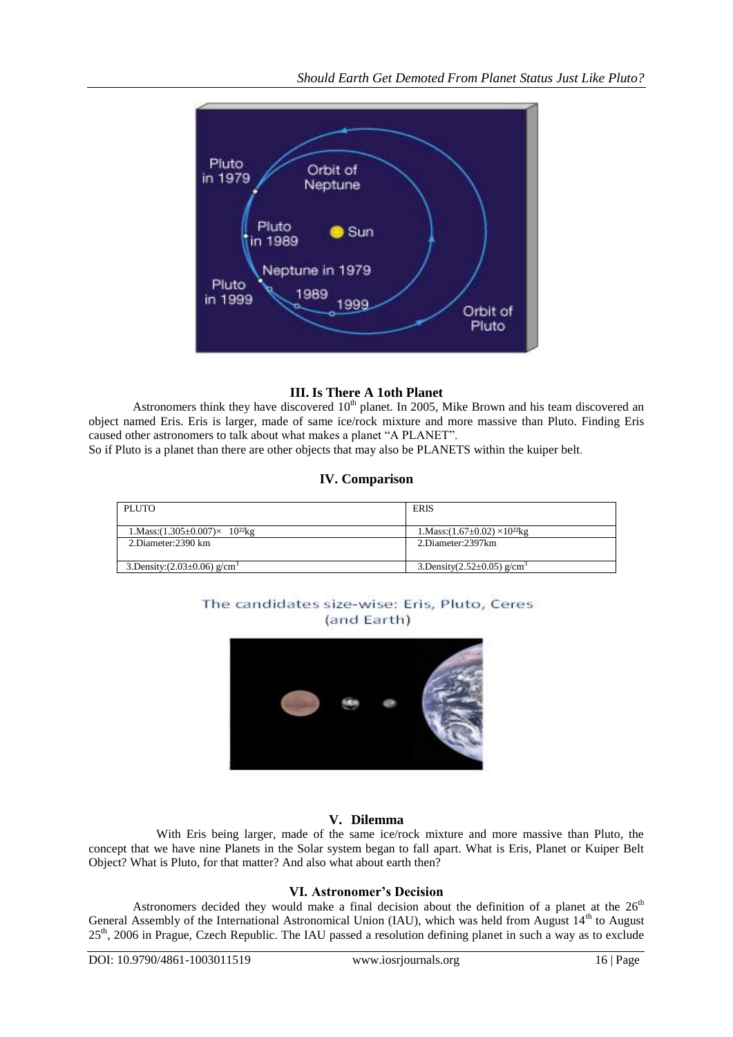

## **III. Is There A 1oth Planet**

Astronomers think they have discovered  $10<sup>th</sup>$  planet. In 2005, Mike Brown and his team discovered an object named Eris. Eris is larger, made of same ice/rock mixture and more massive than Pluto. Finding Eris caused other astronomers to talk about what makes a planet "A PLANET".

So if Pluto is a planet than there are other objects that may also be PLANETS within the kuiper belt.

## **IV. Comparison**

| PLUTO                                                                | <b>ERIS</b>                                                   |
|----------------------------------------------------------------------|---------------------------------------------------------------|
| 1. Mass: $(1.305 \pm 0.007) \times 10^{22}$ kg<br>2.Diameter:2390 km | 1. Mass: $(1.67\pm0.02)\times10^{22}$ kg<br>2.Diameter:2397km |
| 3. Density: $(2.03 \pm 0.06)$ g/cm <sup>3</sup>                      | 3.Density $(2.52 \pm 0.05)$ g/cm <sup>3</sup>                 |

# The candidates size-wise: Eris, Pluto, Ceres (and Earth)



## **V. Dilemma**

 With Eris being larger, made of the same ice/rock mixture and more massive than Pluto, the concept that we have nine Planets in the Solar system began to fall apart. What is Eris, Planet or Kuiper Belt Object? What is Pluto, for that matter? And also what about earth then?

## **VI. Astronomer's Decision**

Astronomers decided they would make a final decision about the definition of a planet at the  $26<sup>th</sup>$ General Assembly of the International Astronomical Union (IAU), which was held from August 14<sup>th</sup> to August 25<sup>th</sup>, 2006 in Prague, Czech Republic. The IAU passed a resolution defining planet in such a way as to exclude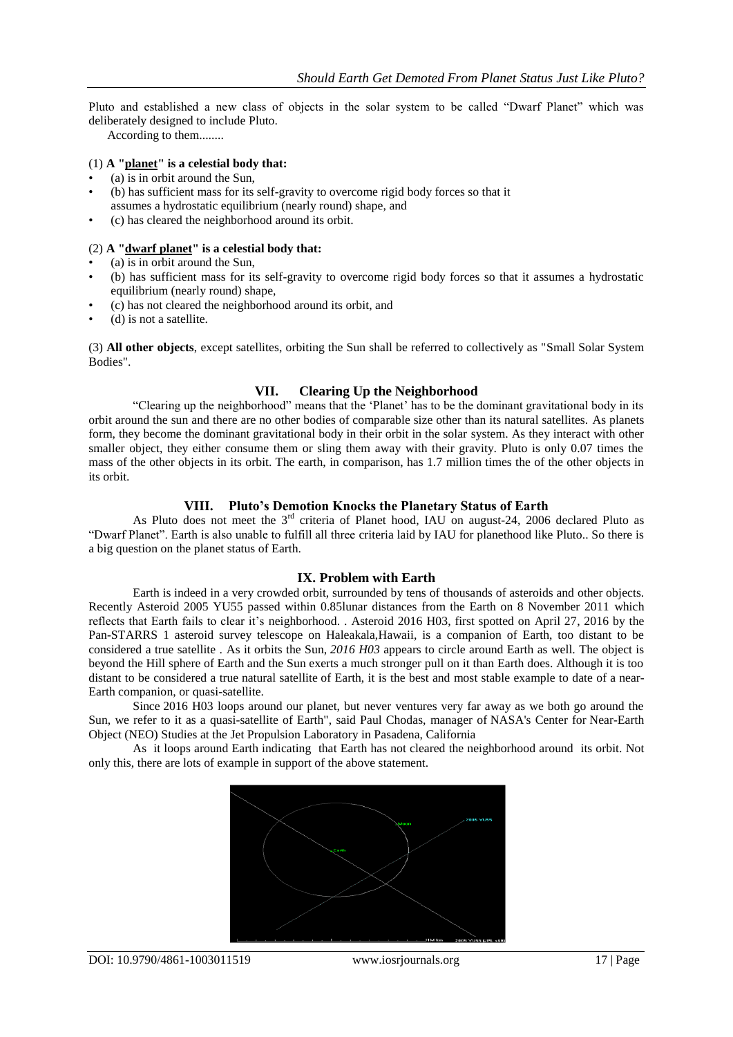Pluto and established a new class of objects in the solar system to be called "Dwarf Planet" which was deliberately designed to include Pluto.

According to them........

## (1) **A ["planet"](http://en.wikipedia.org/wiki/Planet) is a celestial body that:**

- (a) is in orbit around the Sun,
- (b) has sufficient mass for its self-gravity to overcome rigid body forces so that it assumes a hydrostatic equilibrium (nearly round) shape, and
- (c) has cleared the neighborhood around its orbit.

#### (2) **A ["dwarf planet"](http://en.wikipedia.org/wiki/Dwarf_planet) is a celestial body that:**

- (a) is in orbit around the Sun,
- (b) has sufficient mass for its self-gravity to overcome rigid body forces so that it assumes a hydrostatic equilibrium (nearly round) shape,
- (c) has not cleared the neighborhood around its orbit, and
- (d) is not a satellite.

(3) **All other objects**, except satellites, orbiting the Sun shall be referred to collectively as ["Small Solar System](http://en.wikipedia.org/wiki/Small_Solar_System_Body)  [Bodies"](http://en.wikipedia.org/wiki/Small_Solar_System_Body).

## **VII. Clearing Up the Neighborhood**

―Clearing up the neighborhood‖ means that the ‗Planet' has to be the dominant gravitational body in its orbit around the sun and there are no other bodies of comparable size other than its natural satellites. As planets form, they become the dominant gravitational body in their orbit in the solar system. As they interact with other smaller object, they either consume them or sling them away with their gravity. Pluto is only 0.07 times the mass of the other objects in its orbit. The earth, in comparison, has 1.7 million times the of the other objects in its orbit.

## **VIII. Pluto's Demotion Knocks the Planetary Status of Earth**

As Pluto does not meet the 3<sup>rd</sup> criteria of Planet hood, IAU on august-24, 2006 declared Pluto as ―Dwarf Planet‖. Earth is also unable to fulfill all three criteria laid by IAU for planethood like Pluto.. So there is a big question on the planet status of Earth.

## **IX. Problem with Earth**

Earth is indeed in a very crowded orbit, surrounded by tens of thousands of asteroids and other objects. Recently Asteroid 2005 YU55 passed within 0.85lunar distances from the Earth on 8 November 2011 which reflects that Earth fails to clear it's neighborhood. . Asteroid 2016 H03, first spotted on April 27, 2016 by the Pan-STARRS 1 asteroid survey telescope on Haleakala,Hawaii, is a companion of Earth, too distant to be considered a true satellite . As it orbits the Sun, *2016 H03* appears to circle around Earth as well. The object is beyond the [Hill sphere](https://en.wikipedia.org/wiki/Hill_sphere) of Earth and the Sun exerts a much stronger pull on it than Earth does. Although it is too distant to be considered a true [natural satellite](https://en.wikipedia.org/wiki/Natural_satellite) of Earth, it is the best and most stable example to date of a [near-](https://en.wikipedia.org/wiki/Near-Earth_object)[Earth companion,](https://en.wikipedia.org/wiki/Near-Earth_object) or [quasi-satellite.](https://en.wikipedia.org/wiki/Quasi-satellite)

Since 2016 H03 loops around our planet, but never ventures very far away as we both go around the Sun, we refer to it as a quasi-satellite of Earth", said Paul Chodas, manager of [NASA's](https://en.wikipedia.org/wiki/NASA) Center for [Near-Earth](https://en.wikipedia.org/wiki/Near-Earth_Object)  [Object](https://en.wikipedia.org/wiki/Near-Earth_Object) (NEO) Studies at the [Jet Propulsion Laboratory](https://en.wikipedia.org/wiki/Jet_Propulsion_Laboratory) in [Pasadena, California](https://en.wikipedia.org/wiki/Pasadena,_California)

As it loops around Earth indicating that Earth has not cleared the neighborhood around its orbit. Not only this, there are lots of example in support of the above statement.

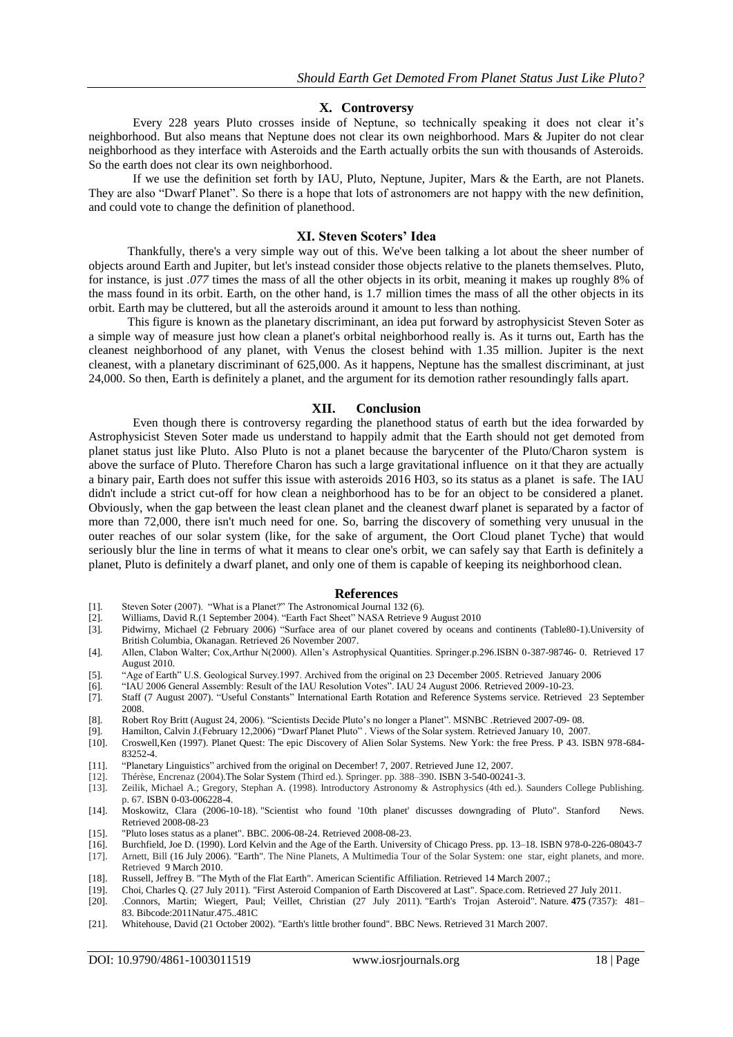#### **X. Controversy**

Every 228 years Pluto crosses inside of Neptune, so technically speaking it does not clear it's neighborhood. But also means that Neptune does not clear its own neighborhood. Mars & Jupiter do not clear neighborhood as they interface with Asteroids and the Earth actually orbits the sun with thousands of Asteroids. So the earth does not clear its own neighborhood.

If we use the definition set forth by IAU, Pluto, Neptune, Jupiter, Mars & the Earth, are not Planets. They are also "Dwarf Planet". So there is a hope that lots of astronomers are not happy with the new definition, and could vote to change the definition of planethood.

#### **XI. Steven Scoters' Idea**

Thankfully, there's a very simple way out of this. We've been talking a lot about the sheer number of objects around Earth and Jupiter, but let's instead consider those objects relative to the planets themselves. Pluto, for instance, is just *.077* times the mass of all the other objects in its orbit, meaning it makes up roughly 8% of the mass found in its orbit. Earth, on the other hand, is 1.7 million times the mass of all the other objects in its orbit. Earth may be cluttered, but all the asteroids around it amount to less than nothing.

This figure is known as the planetary discriminant, an idea put forward by astrophysicist Steven Soter as a simple way of measure just how clean a planet's orbital neighborhood really is. As it turns out, Earth has the cleanest neighborhood of any planet, with Venus the closest behind with 1.35 million. Jupiter is the next cleanest, with a planetary discriminant of 625,000. As it happens, Neptune has the smallest discriminant, at just 24,000. So then, Earth is definitely a planet, and the argument for its demotion rather resoundingly falls apart.

#### **XII. Conclusion**

Even though there is controversy regarding the planethood status of earth but the idea forwarded by Astrophysicist Steven Soter made us understand to happily admit that the Earth should not get demoted from planet status just like Pluto. Also Pluto is not a planet because the barycenter of the Pluto/Charon system is above the surface of Pluto. Therefore Charon has such a large gravitational influence on it that they are actually a binary pair, Earth does not suffer this issue with asteroids 2016 H03, so its status as a planet is safe. The IAU didn't include a strict cut-off for how clean a neighborhood has to be for an object to be considered a planet. Obviously, when the gap between the least clean planet and the cleanest dwarf planet is separated by a factor of more than 72,000, there isn't much need for one. So, barring the discovery of something very unusual in the outer reaches of our solar system (like, for the sake of argument, [the Oort Cloud planet Tyche\)](http://io9.com/#%215704871/gigantic-hidden-planet-could-be-hurling-comets-at-the-rest-of-the-solar-system) that would seriously blur the line in terms of what it means to clear one's orbit, we can safely say that Earth is definitely a planet, Pluto is definitely a dwarf planet, and only one of them is capable of keeping its neighborhood clean.

#### **References**

- [1]. Steven Soter (2007). "What is a Planet?" The Astronomical Journal 132 (6).
- [2]. Williams, David R.(1 September 2004). "Earth Fact Sheet" NASA Retrieve 9 August 2010<br>[3]. Pidwirny, Michael (2 February 2006) "Surface area of our planet covered by oceans and
- Pidwirny, Michael (2 February 2006) "Surface area of our planet covered by oceans and continents (Table80-1).University of British Columbia, Okanagan. Retrieved 26 November 2007.
- [4]. Allen, Clabon Walter; Cox,Arthur N(2000). Allen's Astrophysical Quantities. Springer.p.296.ISBN 0-387-98746- 0. Retrieved 17 August 2010.
- [5]. ―Age of Earth‖ U.S. Geological Survey.1997. Archived from the original on 23 December 2005. Retrieved January 2006
- [6]. "IAU 2006 General Assembly: Result of the IAU Resolution Votes". IAU 24 August 2006. Retrieved 2009-10-23.
- [7]. Staff (7 August 2007). "Useful Constants" International Earth Rotation and Reference Systems service. Retrieved 23 September 2008.
- [8]. Robert Roy Britt (August 24, 2006). "Scientists Decide Pluto's no longer a Planet". MSNBC .Retrieved 2007-09- 08.
- [9]. Hamilton, Calvin J.(February 12,2006) "Dwarf Planet Pluto". Views of the Solar system. Retrieved January 10, 2007.
- [10]. Croswell,Ken (1997). Planet Quest: The epic Discovery of Alien Solar Systems. New York: the free Press. P 43. ISBN 978-684- 83252-4.
- [11]. ―Planetary Linguistics‖ archived from the original on December! 7, 2007. Retrieved June 12, 2007.
- [12]. Thérèse, Encrenaz (2004).The Solar System (Third ed.). Springer. pp. 388–390. [ISBN](https://en.wikipedia.org/wiki/International_Standard_Book_Number) [3-540-00241-3.](https://en.wikipedia.org/wiki/Special:BookSources/3-540-00241-3)
- Zeilik, Michael A.; Gregory, Stephan A. (1998). Introductory Astronomy & Astrophysics (4th ed.). Saunders College Publishing. p. 67. [ISBN](https://en.wikipedia.org/wiki/International_Standard_Book_Number) [0-03-006228-4.](https://en.wikipedia.org/wiki/Special:BookSources/0-03-006228-4)
- [14]. Moskowitz, Clara (2006-10-18). ["Scientist who found '10th planet' discusses downgrading of Pluto".](http://news-service.stanford.edu/news/2006/october18/mbrown-101806.html) Stanford News. Retrieved 2008-08-23
- 
- [15]. ["Pluto loses status as a planet".](http://news.bbc.co.uk/1/hi/world/5282440.stm) BBC. 2006-08-24. Retrieved 2008-08-23.<br>[16]. Burchfield, Joe D. (1990). Lord Kelvin and the Age of the Earth. University [16]. Burchfield, Joe D. (1990). Lord Kelvin and the Age of the Earth. University of Chicago Press. pp. 13–18. [ISBN](https://en.wikipedia.org/wiki/International_Standard_Book_Number) [978-0-226-08043-7](https://en.wikipedia.org/wiki/Special:BookSources/978-0-226-08043-7)
- [17]. Arnett, Bill (16 July 2006). ["Earth".](http://nineplanets.org/earth.html) The Nine Planets, A Multimedia Tour of the Solar System: one star, eight planets, and more. Retrieved 9 March 2010.
- [18]. Russell, Jeffrey B. ["The Myth of the Flat Earth".](http://www.asa3.org/ASA/topics/history/1997Russell.html) American Scientific Affiliation. Retrieved 14 March 2007.;
- [19]. Choi, Charles Q. (27 July 2011). ["First Asteroid Companion of Earth Discovered at Last".](http://www.space.com/12443-earth-asteroid-companion-discovered-2010-tk7.html) [Space.com.](https://en.wikipedia.org/wiki/Space.com) Retrieved 27 July 2011.
- [20]. .Connors, Martin; Wiegert, Paul; Veillet, Christian (27 July 2011). ["Earth's Trojan](http://www.nature.com/nature/journal/v475/n7357/full/nature10233.html) Asteroid". [Nature.](https://en.wikipedia.org/wiki/Nature_(journal)) **475** (7357): 481– 83. [Bibcode:](https://en.wikipedia.org/wiki/Bibcode)[2011Natur.475..481C](http://adsabs.harvard.edu/abs/2011Natur.475..481C)
- [21]. Whitehouse, David (21 October 2002). ["Earth's little brother found".](http://news.bbc.co.uk/1/hi/sci/tech/2347663.stm) BBC News. Retrieved 31 March 2007.